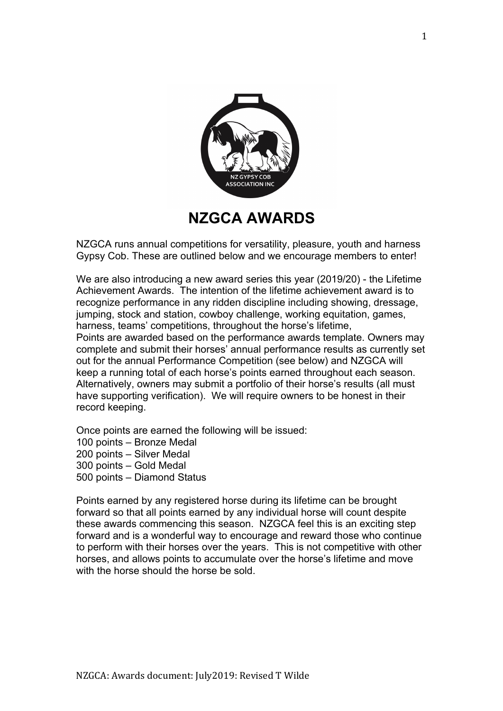

## **NZGCA AWARDS**

NZGCA runs annual competitions for versatility, pleasure, youth and harness Gypsy Cob. These are outlined below and we encourage members to enter!

We are also introducing a new award series this year (2019/20) - the Lifetime Achievement Awards. The intention of the lifetime achievement award is to recognize performance in any ridden discipline including showing, dressage, jumping, stock and station, cowboy challenge, working equitation, games, harness, teams' competitions, throughout the horse's lifetime,

Points are awarded based on the performance awards template. Owners may complete and submit their horses' annual performance results as currently set out for the annual Performance Competition (see below) and NZGCA will keep a running total of each horse's points earned throughout each season. Alternatively, owners may submit a portfolio of their horse's results (all must have supporting verification). We will require owners to be honest in their record keeping.

Once points are earned the following will be issued:

- 100 points Bronze Medal
- 200 points Silver Medal
- 300 points Gold Medal
- 500 points Diamond Status

Points earned by any registered horse during its lifetime can be brought forward so that all points earned by any individual horse will count despite these awards commencing this season. NZGCA feel this is an exciting step forward and is a wonderful way to encourage and reward those who continue to perform with their horses over the years. This is not competitive with other horses, and allows points to accumulate over the horse's lifetime and move with the horse should the horse be sold.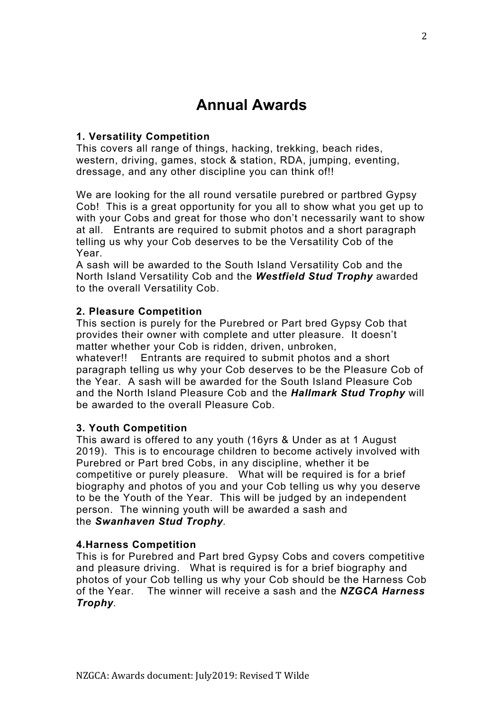# **Annual Awards**

## **1. Versatility Competition**

This covers all range of things, hacking, trekking, beach rides, western, driving, games, stock & station, RDA, jumping, eventing, dressage, and any other discipline you can think of!!

We are looking for the all round versatile purebred or partbred Gypsy Cob! This is a great opportunity for you all to show what you get up to with your Cobs and great for those who don't necessarily want to show at all. Entrants are required to submit photos and a short paragraph telling us why your Cob deserves to be the Versatility Cob of the Year.

A sash will be awarded to the South Island Versatility Cob and the North Island Versatility Cob and the *Westfield Stud Trophy* awarded to the overall Versatility Cob.

## **2. Pleasure Competition**

This section is purely for the Purebred or Part bred Gypsy Cob that provides their owner with complete and utter pleasure. It doesn't matter whether your Cob is ridden, driven, unbroken,

whatever!! Entrants are required to submit photos and a short paragraph telling us why your Cob deserves to be the Pleasure Cob of the Year. A sash will be awarded for the South Island Pleasure Cob and the North Island Pleasure Cob and the *Hallmark Stud Trophy* will be awarded to the overall Pleasure Cob.

## **3. Youth Competition**

This award is offered to any youth (16yrs & Under as at 1 August 2019). This is to encourage children to become actively involved with Purebred or Part bred Cobs, in any discipline, whether it be competitive or purely pleasure. What will be required is for a brief biography and photos of you and your Cob telling us why you deserve to be the Youth of the Year. This will be judged by an independent person. The winning youth will be awarded a sash and the *Swanhaven Stud Trophy.*

#### **4.Harness Competition**

This is for Purebred and Part bred Gypsy Cobs and covers competitive and pleasure driving. What is required is for a brief biography and photos of your Cob telling us why your Cob should be the Harness Cob of the Year. The winner will receive a sash and the *NZGCA Harness Trophy.*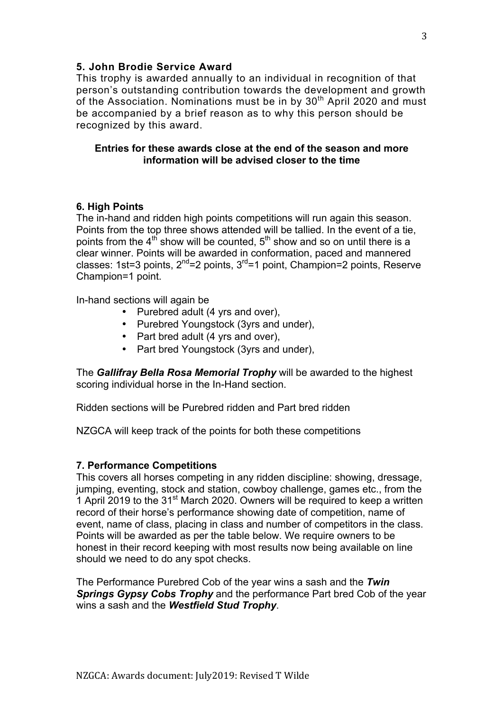#### **5. John Brodie Service Award**

This trophy is awarded annually to an individual in recognition of that person's outstanding contribution towards the development and growth of the Association. Nominations must be in by 30<sup>th</sup> April 2020 and must be accompanied by a brief reason as to why this person should be recognized by this award.

#### **Entries for these awards close at the end of the season and more information will be advised closer to the time**

#### **6. High Points**

The in-hand and ridden high points competitions will run again this season. Points from the top three shows attended will be tallied. In the event of a tie, points from the  $4<sup>th</sup>$  show will be counted,  $5<sup>th</sup>$  show and so on until there is a clear winner. Points will be awarded in conformation, paced and mannered classes: 1st=3 points,  $2^{nd}$ =2 points,  $3^{rd}$ =1 point, Champion=2 points, Reserve Champion=1 point.

In-hand sections will again be

- Purebred adult (4 yrs and over),
- Purebred Youngstock (3yrs and under),
- Part bred adult (4 yrs and over),
- Part bred Youngstock (3yrs and under),

The *Gallifray Bella Rosa Memorial Trophy* will be awarded to the highest scoring individual horse in the In-Hand section.

Ridden sections will be Purebred ridden and Part bred ridden

NZGCA will keep track of the points for both these competitions

## **7. Performance Competitions**

This covers all horses competing in any ridden discipline: showing, dressage, jumping, eventing, stock and station, cowboy challenge, games etc., from the 1 April 2019 to the 31<sup>st</sup> March 2020. Owners will be required to keep a written record of their horse's performance showing date of competition, name of event, name of class, placing in class and number of competitors in the class. Points will be awarded as per the table below. We require owners to be honest in their record keeping with most results now being available on line should we need to do any spot checks.

The Performance Purebred Cob of the year wins a sash and the *Twin Springs Gypsy Cobs Trophy* and the performance Part bred Cob of the year wins a sash and the *Westfield Stud Trophy*.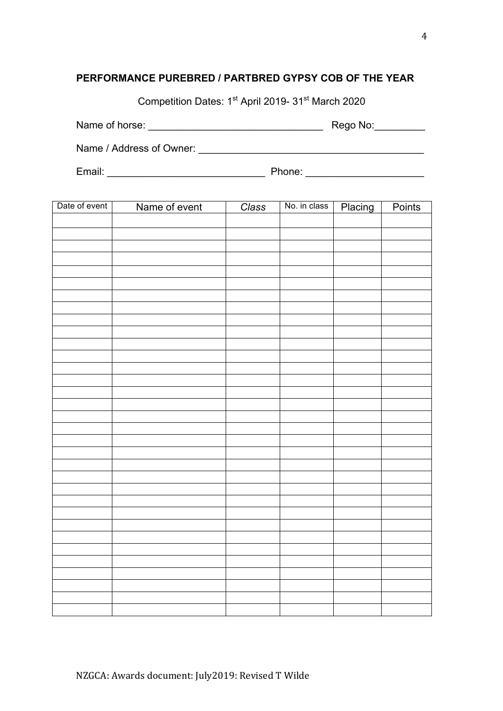## **PERFORMANCE PUREBRED / PARTBRED GYPSY COB OF THE YEAR**

Competition Dates: 1st April 2019- 31st March 2020

Name of horse: \_\_\_\_\_\_\_\_\_\_\_\_\_\_\_\_\_\_\_\_\_\_\_\_\_\_\_\_\_\_\_ Rego No:\_\_\_\_\_\_\_\_\_

Email: \_\_\_\_\_\_\_\_\_\_\_\_\_\_\_\_\_\_\_\_\_\_\_\_\_\_\_\_ Phone: \_\_\_\_\_\_\_\_\_\_\_\_\_\_\_\_\_\_\_\_\_

Name / Address of Owner: \_\_\_\_\_\_\_\_\_\_\_\_\_\_\_\_\_\_\_\_\_\_\_\_\_\_\_\_\_\_\_\_\_\_\_\_\_\_\_\_

| Т | າa။ |  |
|---|-----|--|
|   | ۰   |  |
|   |     |  |

| Date of event | Name of event | Class | No. in class | Placing | Points |
|---------------|---------------|-------|--------------|---------|--------|
|               |               |       |              |         |        |
|               |               |       |              |         |        |
|               |               |       |              |         |        |
|               |               |       |              |         |        |
|               |               |       |              |         |        |
|               |               |       |              |         |        |
|               |               |       |              |         |        |
|               |               |       |              |         |        |
|               |               |       |              |         |        |
|               |               |       |              |         |        |
|               |               |       |              |         |        |
|               |               |       |              |         |        |
|               |               |       |              |         |        |
|               |               |       |              |         |        |
|               |               |       |              |         |        |
|               |               |       |              |         |        |
|               |               |       |              |         |        |
|               |               |       |              |         |        |
|               |               |       |              |         |        |
|               |               |       |              |         |        |
|               |               |       |              |         |        |
|               |               |       |              |         |        |
|               |               |       |              |         |        |
|               |               |       |              |         |        |
|               |               |       |              |         |        |
|               |               |       |              |         |        |
|               |               |       |              |         |        |
|               |               |       |              |         |        |
|               |               |       |              |         |        |
|               |               |       |              |         |        |
|               |               |       |              |         |        |
|               |               |       |              |         |        |